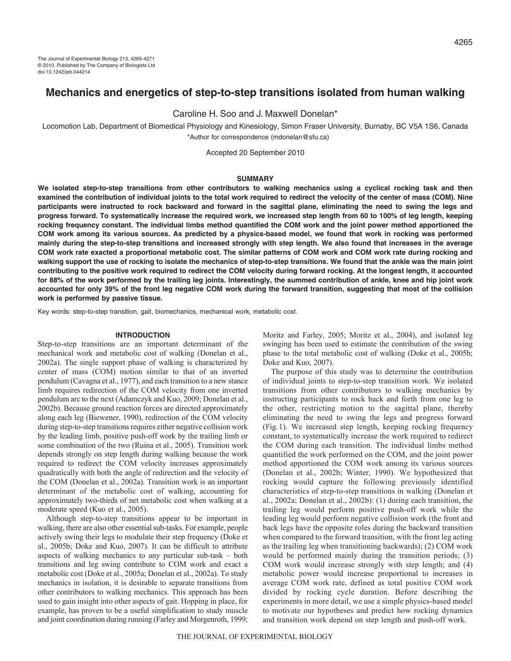# **Mechanics and energetics of step-to-step transitions isolated from human walking**

Caroline H. Soo and J. Maxwell Donelan\*

Locomotion Lab, Department of Biomedical Physiology and Kinesiology, Simon Fraser University, Burnaby, BC V5A 1S6, Canada \*Author for correspondence (mdonelan@sfu.ca)

Accepted 20 September 2010

### **SUMMARY**

**We isolated step-to-step transitions from other contributors to walking mechanics using a cyclical rocking task and then examined the contribution of individual joints to the total work required to redirect the velocity of the center of mass (COM). Nine participants were instructed to rock backward and forward in the sagittal plane, eliminating the need to swing the legs and progress forward. To systematically increase the required work, we increased step length from 60 to 100% of leg length, keeping rocking frequency constant. The individual limbs method quantified the COM work and the joint power method apportioned the COM work among its various sources. As predicted by a physics-based model, we found that work in rocking was performed mainly during the step-to-step transitions and increased strongly with step length. We also found that increases in the average COM work rate exacted a proportional metabolic cost. The similar patterns of COM work and COM work rate during rocking and walking support the use of rocking to isolate the mechanics of step-to-step transitions. We found that the ankle was the main joint contributing to the positive work required to redirect the COM velocity during forward rocking. At the longest length, it accounted for 88% of the work performed by the trailing leg joints. Interestingly, the summed contribution of ankle, knee and hip joint work accounted for only 39% of the front leg negative COM work during the forward transition, suggesting that most of the collision work is performed by passive tissue.**

Key words: step-to-step transition, gait, biomechanics, mechanical work, metabolic cost.

#### **INTRODUCTION**

Step-to-step transitions are an important determinant of the mechanical work and metabolic cost of walking (Donelan et al., 2002a). The single support phase of walking is characterized by center of mass (COM) motion similar to that of an inverted pendulum (Cavagna et al., 1977), and each transition to a new stance limb requires redirection of the COM velocity from one inverted pendulum arc to the next (Adamczyk and Kuo, 2009; Donelan et al., 2002b). Because ground reaction forces are directed approximately along each leg (Biewener, 1990), redirection of the COM velocity during step-to-step transitions requires either negative collision work by the leading limb, positive push-off work by the trailing limb or some combination of the two (Ruina et al., 2005). Transition work depends strongly on step length during walking because the work required to redirect the COM velocity increases approximately quadratically with both the angle of redirection and the velocity of the COM (Donelan et al., 2002a). Transition work is an important determinant of the metabolic cost of walking, accounting for approximately two-thirds of net metabolic cost when walking at a moderate speed (Kuo et al., 2005).

Although step-to-step transitions appear to be important in walking, there are also other essential sub-tasks. For example, people actively swing their legs to modulate their step frequency (Doke et al., 2005b; Doke and Kuo, 2007). It can be difficult to attribute aspects of walking mechanics to any particular sub-task – both transitions and leg swing contribute to COM work and exact a metabolic cost (Doke et al., 2005a; Donelan et al., 2002a). To study mechanics in isolation, it is desirable to separate transitions from other contributors to walking mechanics. This approach has been used to gain insight into other aspects of gait. Hopping in place, for example, has proven to be a useful simplification to study muscle and joint coordination during running (Farley and Morgenroth, 1999;

Moritz and Farley, 2005; Moritz et al., 2004), and isolated leg swinging has been used to estimate the contribution of the swing phase to the total metabolic cost of walking (Doke et al., 2005b; Doke and Kuo, 2007).

The purpose of this study was to determine the contribution of individual joints to step-to-step transition work. We isolated transitions from other contributors to walking mechanics by instructing participants to rock back and forth from one leg to the other, restricting motion to the sagittal plane, thereby eliminating the need to swing the legs and progress forward (Fig.1). We increased step length, keeping rocking frequency constant, to systematically increase the work required to redirect the COM during each transition. The individual limbs method quantified the work performed on the COM, and the joint power method apportioned the COM work among its various sources (Donelan et al., 2002b; Winter, 1990). We hypothesized that rocking would capture the following previously identified characteristics of step-to-step transitions in walking (Donelan et al., 2002a; Donelan et al., 2002b): (1) during each transition, the trailing leg would perform positive push-off work while the leading leg would perform negative collision work (the front and back legs have the opposite roles during the backward transition when compared to the forward transition, with the front leg acting as the trailing leg when transitioning backwards); (2) COM work would be performed mainly during the transition periods; (3) COM work would increase strongly with step length; and (4) metabolic power would increase proportional to increases in average COM work rate, defined as total positive COM work divided by rocking cycle duration. Before describing the experiments in more detail, we use a simple physics-based model to motivate our hypotheses and predict how rocking dynamics and transition work depend on step length and push-off work.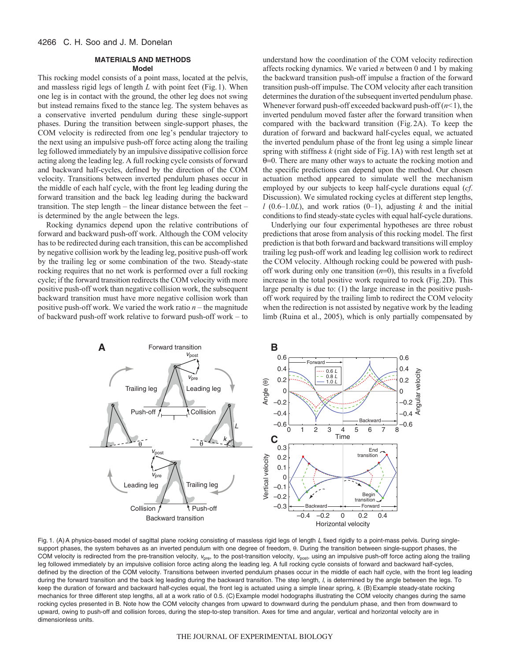## **MATERIALS AND METHODS Model**

This rocking model consists of a point mass, located at the pelvis, and massless rigid legs of length *L* with point feet (Fig.1). When one leg is in contact with the ground, the other leg does not swing but instead remains fixed to the stance leg. The system behaves as a conservative inverted pendulum during these single-support phases. During the transition between single-support phases, the COM velocity is redirected from one leg's pendular trajectory to the next using an impulsive push-off force acting along the trailing leg followed immediately by an impulsive dissipative collision force acting along the leading leg. A full rocking cycle consists of forward and backward half-cycles, defined by the direction of the COM velocity. Transitions between inverted pendulum phases occur in the middle of each half cycle, with the front leg leading during the forward transition and the back leg leading during the backward transition. The step length – the linear distance between the feet – is determined by the angle between the legs.

Rocking dynamics depend upon the relative contributions of forward and backward push-off work. Although the COM velocity has to be redirected during each transition, this can be accomplished by negative collision work by the leading leg, positive push-off work by the trailing leg or some combination of the two. Steady-state rocking requires that no net work is performed over a full rocking cycle; if the forward transition redirects the COM velocity with more positive push-off work than negative collision work, the subsequent backward transition must have more negative collision work than positive push-off work. We varied the work ratio  $n -$  the magnitude of backward push-off work relative to forward push-off work – to

understand how the coordination of the COM velocity redirection affects rocking dynamics. We varied *n* between 0 and 1 by making the backward transition push-off impulse a fraction of the forward transition push-off impulse. The COM velocity after each transition determines the duration of the subsequent inverted pendulum phase. Whenever forward push-off exceeded backward push-off (*n<*1), the inverted pendulum moved faster after the forward transition when compared with the backward transition (Fig.2A). To keep the duration of forward and backward half-cycles equal, we actuated the inverted pendulum phase of the front leg using a simple linear spring with stiffness *k* (right side of Fig.1A) with rest length set at  $\theta$ =0. There are many other ways to actuate the rocking motion and the specific predictions can depend upon the method. Our chosen actuation method appeared to simulate well the mechanism employed by our subjects to keep half-cycle durations equal (*cf*. Discussion). We simulated rocking cycles at different step lengths,  $l$  (0.6–1.0*L*), and work ratios (0–1), adjusting  $k$  and the initial conditions to find steady-state cycles with equal half-cycle durations.

Underlying our four experimental hypotheses are three robust predictions that arose from analysis of this rocking model. The first prediction is that both forward and backward transitions will employ trailing leg push-off work and leading leg collision work to redirect the COM velocity. Although rocking could be powered with pushoff work during only one transition  $(n=0)$ , this results in a fivefold increase in the total positive work required to rock (Fig.2D). This large penalty is due to: (1) the large increase in the positive pushoff work required by the trailing limb to redirect the COM velocity when the redirection is not assisted by negative work by the leading limb (Ruina et al., 2005), which is only partially compensated by



Fig. 1. (A) A physics-based model of sagittal plane rocking consisting of massless rigid legs of length L fixed rigidly to a point-mass pelvis. During singlesupport phases, the system behaves as an inverted pendulum with one degree of freedom,  $\theta$ . During the transition between single-support phases, the COM velocity is redirected from the pre-transition velocity,  $v_{\text{pre}}$ , to the post-transition velocity,  $v_{\text{post}}$ , using an impulsive push-off force acting along the trailing leg followed immediately by an impulsive collision force acting along the leading leg. A full rocking cycle consists of forward and backward half-cycles, defined by the direction of the COM velocity. Transitions between inverted pendulum phases occur in the middle of each half cycle, with the front leg leading during the forward transition and the back leg leading during the backward transition. The step length, I, is determined by the angle between the legs. To keep the duration of forward and backward half-cycles equal, the front leg is actuated using a simple linear spring, k. (B) Example steady-state rocking mechanics for three different step lengths, all at a work ratio of 0.5. (C)Example model hodographs illustrating the COM velocity changes during the same rocking cycles presented in B. Note how the COM velocity changes from upward to downward during the pendulum phase, and then from downward to upward, owing to push-off and collision forces, during the step-to-step transition. Axes for time and angular, vertical and horizontal velocity are in dimensionless units.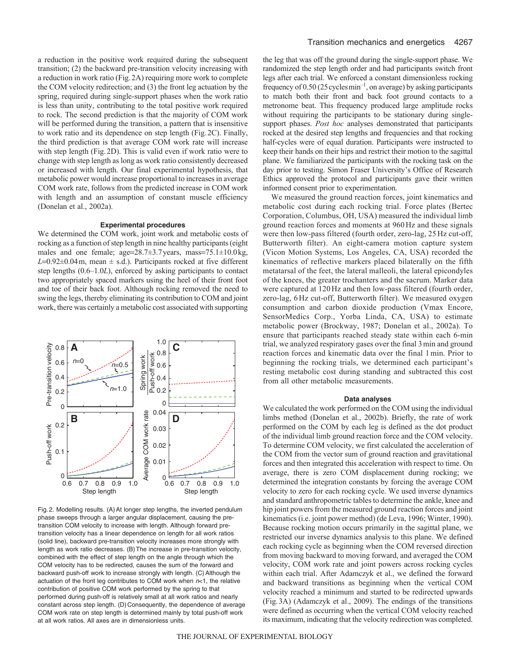a reduction in the positive work required during the subsequent transition; (2) the backward pre-transition velocity increasing with a reduction in work ratio (Fig.2A) requiring more work to complete the COM velocity redirection; and (3) the front leg actuation by the spring, required during single-support phases when the work ratio is less than unity, contributing to the total positive work required to rock. The second prediction is that the majority of COM work will be performed during the transition, a pattern that is insensitive to work ratio and its dependence on step length (Fig.2C). Finally, the third prediction is that average COM work rate will increase with step length (Fig.2D). This is valid even if work ratio were to change with step length as long as work ratio consistently decreased or increased with length. Our final experimental hypothesis, that metabolic power would increase proportional to increases in average COM work rate, follows from the predicted increase in COM work with length and an assumption of constant muscle efficiency (Donelan et al., 2002a).

### **Experimental procedures**

We determined the COM work, joint work and metabolic costs of rocking as a function of step length in nine healthy participants (eight males and one female; age= $28.7\pm3.7$  years, mass= $75.1\pm10.0$  kg,  $L=0.92\pm0.04$  m, mean  $\pm$  s.d.). Participants rocked at five different step lengths (0.6–1.0*L*), enforced by asking participants to contact two appropriately spaced markers using the heel of their front foot and toe of their back foot. Although rocking removed the need to swing the legs, thereby eliminating its contribution to COM and joint work, there was certainly a metabolic cost associated with supporting



Fig. 2. Modelling results. (A)At longer step lengths, the inverted pendulum phase sweeps through a larger angular displacement, causing the pretransition COM velocity to increase with length. Although forward pretransition velocity has a linear dependence on length for all work ratios (solid line), backward pre-transition velocity increases more strongly with length as work ratio decreases. (B) The increase in pre-transition velocity, combined with the effect of step length on the angle through which the COM velocity has to be redirected, causes the sum of the forward and backward push-off work to increase strongly with length. (C)Although the actuation of the front leg contributes to COM work when  $n<1$ , the relative contribution of positive COM work performed by the spring to that performed during push-off is relatively small at all work ratios and nearly constant across step length. (D) Consequently, the dependence of average COM work rate on step length is determined mainly by total push-off work at all work ratios. All axes are in dimensionless units.

the leg that was off the ground during the single-support phase. We randomized the step length order and had participants switch front legs after each trial. We enforced a constant dimensionless rocking frequency of  $0.50$  (25 cycles min<sup>-1</sup>, on average) by asking participants to match both their front and back foot ground contacts to a metronome beat. This frequency produced large amplitude rocks without requiring the participants to be stationary during singlesupport phases. *Post hoc* analyses demonstrated that participants rocked at the desired step lengths and frequencies and that rocking half-cycles were of equal duration. Participants were instructed to keep their hands on their hips and restrict their motion to the sagittal plane. We familiarized the participants with the rocking task on the day prior to testing. Simon Fraser University's Office of Research Ethics approved the protocol and participants gave their written informed consent prior to experimentation.

We measured the ground reaction forces, joint kinematics and metabolic cost during each rocking trial. Force plates (Bertec Corporation, Columbus, OH, USA) measured the individual limb ground reaction forces and moments at 960Hz and these signals were then low-pass filtered (fourth order, zero-lag, 25Hz cut-off, Butterworth filter). An eight-camera motion capture system (Vicon Motion Systems, Los Angeles, CA, USA) recorded the kinematics of reflective markers placed bilaterally on the fifth metatarsal of the feet, the lateral malleoli, the lateral epicondyles of the knees, the greater trochanters and the sacrum. Marker data were captured at 120 Hz and then low-pass filtered (fourth order, zero-lag, 6 Hz cut-off, Butterworth filter). We measured oxygen consumption and carbon dioxide production (Vmax Encore, SensorMedics Corp., Yorba Linda, CA, USA) to estimate metabolic power (Brockway, 1987; Donelan et al., 2002a). To ensure that participants reached steady state within each 6-min trial, we analyzed respiratory gases over the final 3min and ground reaction forces and kinematic data over the final 1min. Prior to beginning the rocking trials, we determined each participant's resting metabolic cost during standing and subtracted this cost from all other metabolic measurements.

## **Data analyses**

We calculated the work performed on the COM using the individual limbs method (Donelan et al., 2002b). Briefly, the rate of work performed on the COM by each leg is defined as the dot product of the individual limb ground reaction force and the COM velocity. To determine COM velocity, we first calculated the acceleration of the COM from the vector sum of ground reaction and gravitational forces and then integrated this acceleration with respect to time. On average, there is zero COM displacement during rocking; we determined the integration constants by forcing the average COM velocity to zero for each rocking cycle. We used inverse dynamics and standard anthropometric tables to determine the ankle, knee and hip joint powers from the measured ground reaction forces and joint kinematics (i.e. joint power method) (de Leva, 1996; Winter, 1990). Because rocking motion occurs primarily in the sagittal plane, we restricted our inverse dynamics analysis to this plane. We defined each rocking cycle as beginning when the COM reversed direction from moving backward to moving forward, and averaged the COM velocity, COM work rate and joint powers across rocking cycles within each trial. After Adamczyk et al., we defined the forward and backward transitions as beginning when the vertical COM velocity reached a minimum and started to be redirected upwards (Fig.3A) (Adamczyk et al., 2009). The endings of the transitions were defined as occurring when the vertical COM velocity reached its maximum, indicating that the velocity redirection was completed.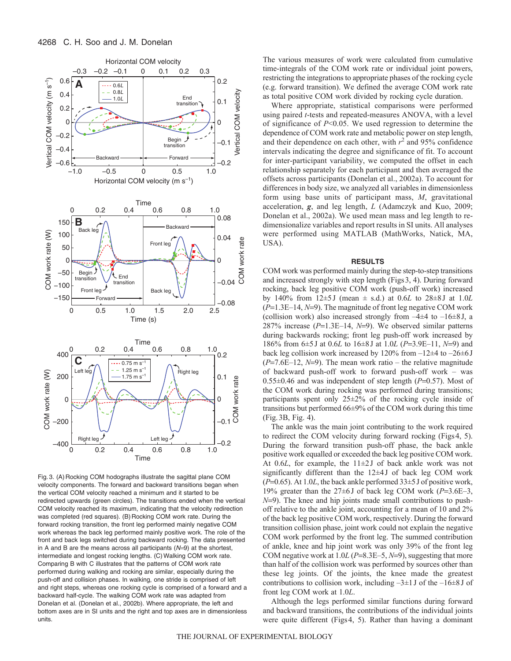

Fig. 3. (A) Rocking COM hodographs illustrate the sagittal plane COM velocity components. The forward and backward transitions began when the vertical COM velocity reached a minimum and it started to be redirected upwards (green circles). The transitions ended when the vertical COM velocity reached its maximum, indicating that the velocity redirection was completed (red squares). (B) Rocking COM work rate. During the forward rocking transition, the front leg performed mainly negative COM work whereas the back leg performed mainly positive work. The role of the front and back legs switched during backward rocking. The data presented in A and B are the means across all participants  $(N=9)$  at the shortest, intermediate and longest rocking lengths. (C) Walking COM work rate. Comparing B with C illustrates that the patterns of COM work rate performed during walking and rocking are similar, especially during the push-off and collision phases. In walking, one stride is comprised of left and right steps, whereas one rocking cycle is comprised of a forward and a backward half-cycle. The walking COM work rate was adapted from Donelan et al. (Donelan et al., 2002b). Where appropriate, the left and bottom axes are in SI units and the right and top axes are in dimensionless units.

The various measures of work were calculated from cumulative time-integrals of the COM work rate or individual joint powers, restricting the integrations to appropriate phases of the rocking cycle (e.g. forward transition). We defined the average COM work rate as total positive COM work divided by rocking cycle duration.

Where appropriate, statistical comparisons were performed using paired *t*-tests and repeated-measures ANOVA, with a level of significance of *P*<0.05. We used regression to determine the dependence of COM work rate and metabolic power on step length, and their dependence on each other, with  $r^2$  and 95% confidence intervals indicating the degree and significance of fit. To account for inter-participant variability, we computed the offset in each relationship separately for each participant and then averaged the offsets across participants (Donelan et al., 2002a). To account for differences in body size, we analyzed all variables in dimensionless form using base units of participant mass, *M*, gravitational acceleration, *g*, and leg length, *L* (Adamczyk and Kuo, 2009; Donelan et al., 2002a). We used mean mass and leg length to redimensionalize variables and report results in SI units. All analyses were performed using MATLAB (MathWorks, Natick, MA, USA).

#### **RESULTS**

COM work was performed mainly during the step-to-step transitions and increased strongly with step length (Figs3, 4). During forward rocking, back leg positive COM work (push-off work) increased by 140% from 12±5J (mean ± s.d.) at 0.6*L* to 28±8J at 1.0*L*  $(P=1.3E-14, N=9)$ . The magnitude of front leg negative COM work (collision work) also increased strongly from  $-4\pm 4$  to  $-16\pm 8$  J, a 287% increase  $(P=1.3E-14, N=9)$ . We observed similar patterns during backwards rocking; front leg push-off work increased by 186% from 6±5J at 0.6*L* to 16±8J at 1.0*L* (*P*=3.9E–11, *N*=9) and back leg collision work increased by 120% from  $-12\pm 4$  to  $-26\pm 6$  J  $(P=7.6E-12, N=9)$ . The mean work ratio – the relative magnitude of backward push-off work to forward push-off work – was  $0.55\pm0.46$  and was independent of step length ( $P=0.57$ ). Most of the COM work during rocking was performed during transitions; participants spent only 25±2% of the rocking cycle inside of transitions but performed 66±9% of the COM work during this time (Fig.3B, Fig. 4).

The ankle was the main joint contributing to the work required to redirect the COM velocity during forward rocking (Figs4, 5). During the forward transition push-off phase, the back ankle positive work equalled or exceeded the back leg positive COM work. At 0.6*L*, for example, the 11±2J of back ankle work was not significantly different than the 12±4J of back leg COM work  $(P=0.65)$ . At 1.0*L*, the back ankle performed 33 $\pm$ 5 J of positive work, 19% greater than the  $27\pm6$ J of back leg COM work ( $P=3.6E-3$ ,  $N=9$ ). The knee and hip joints made small contributions to pushoff relative to the ankle joint, accounting for a mean of 10 and 2% of the back leg positive COM work, respectively. During the forward transition collision phase, joint work could not explain the negative COM work performed by the front leg. The summed contribution of ankle, knee and hip joint work was only 39% of the front leg COM negative work at  $1.0L (P=8.3E-5, N=9)$ , suggesting that more than half of the collision work was performed by sources other than these leg joints. Of the joints, the knee made the greatest contributions to collision work, including  $-3\pm1$  J of the  $-16\pm8$  J of front leg COM work at 1.0*L*.

Although the legs performed similar functions during forward and backward transitions, the contributions of the individual joints were quite different (Figs4, 5). Rather than having a dominant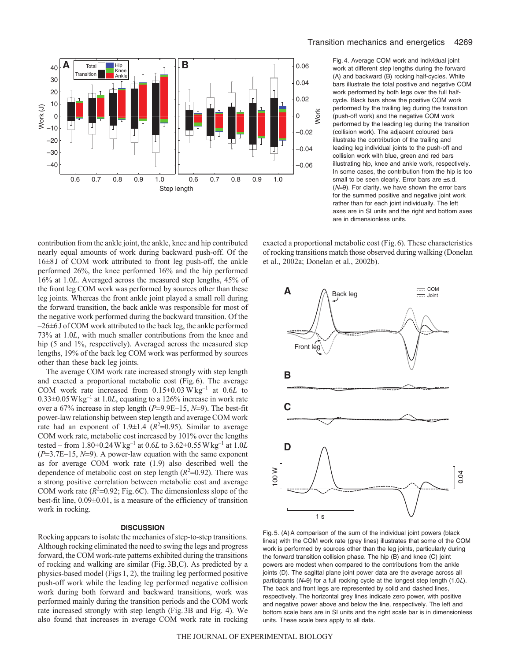

work at different step lengths during the forward (A) and backward (B) rocking half-cycles. White bars illustrate the total positive and negative COM work performed by both legs over the full halfcycle. Black bars show the positive COM work performed by the trailing leg during the transition (push-off work) and the negative COM work performed by the leading leg during the transition (collision work). The adjacent coloured bars illustrate the contribution of the trailing and leading leg individual joints to the push-off and collision work with blue, green and red bars illustrating hip, knee and ankle work, respectively. In some cases, the contribution from the hip is too small to be seen clearly. Error bars are ±s.d.  $(N=9)$ . For clarity, we have shown the error bars for the summed positive and negative joint work rather than for each joint individually. The left axes are in SI units and the right and bottom axes are in dimensionless units.

contribution from the ankle joint, the ankle, knee and hip contributed nearly equal amounts of work during backward push-off. Of the 16±8J of COM work attributed to front leg push-off, the ankle performed 26%, the knee performed 16% and the hip performed 16% at 1.0*L*. Averaged across the measured step lengths, 45% of the front leg COM work was performed by sources other than these leg joints. Whereas the front ankle joint played a small roll during the forward transition, the back ankle was responsible for most of the negative work performed during the backward transition. Of the  $-26\pm6$  J of COM work attributed to the back leg, the ankle performed 73% at 1.0*L*, with much smaller contributions from the knee and hip (5 and 1%, respectively). Averaged across the measured step lengths, 19% of the back leg COM work was performed by sources other than these back leg joints.

The average COM work rate increased strongly with step length and exacted a proportional metabolic cost (Fig.6). The average COM work rate increased from 0.15±0.03Wkg–1 at 0.6*L* to  $0.33\pm0.05$  W kg<sup>-1</sup> at 1.0*L*, equating to a 126% increase in work rate over a 67% increase in step length ( $P=9.9E-15$ ,  $N=9$ ). The best-fit power-law relationship between step length and average COM work rate had an exponent of  $1.9\pm 1.4$  ( $R^2$ =0.95). Similar to average COM work rate, metabolic cost increased by 101% over the lengths tested – from  $1.80 \pm 0.24 \,\text{W}\,\text{kg}^{-1}$  at  $0.6L$  to  $3.62 \pm 0.55 \,\text{W}\,\text{kg}^{-1}$  at  $1.0L$  $(P=3.7E-15, N=9)$ . A power-law equation with the same exponent as for average COM work rate (1.9) also described well the dependence of metabolic cost on step length  $(R<sup>2</sup>=0.92)$ . There was a strong positive correlation between metabolic cost and average COM work rate  $(R^2=0.92;$  Fig. 6C). The dimensionless slope of the best-fit line, 0.09±0.01, is a measure of the efficiency of transition work in rocking.

## **DISCUSSION**

Rocking appears to isolate the mechanics of step-to-step transitions. Although rocking eliminated the need to swing the legs and progress forward, the COM work-rate patterns exhibited during the transitions of rocking and walking are similar (Fig.3B,C). As predicted by a physics-based model (Figs1, 2), the trailing leg performed positive push-off work while the leading leg performed negative collision work during both forward and backward transitions, work was performed mainly during the transition periods and the COM work rate increased strongly with step length (Fig.3B and Fig. 4). We also found that increases in average COM work rate in rocking exacted a proportional metabolic cost (Fig.6). These characteristics of rocking transitions match those observed during walking (Donelan et al., 2002a; Donelan et al., 2002b).



Fig. 5. (A) A comparison of the sum of the individual joint powers (black lines) with the COM work rate (grey lines) illustrates that some of the COM work is performed by sources other than the leg joints, particularly during the forward transition collision phase. The hip (B) and knee (C) joint powers are modest when compared to the contributions from the ankle joints (D). The sagittal plane joint power data are the average across all participants ( $N=9$ ) for a full rocking cycle at the longest step length (1.0L). The back and front legs are represented by solid and dashed lines, respectively. The horizontal grey lines indicate zero power, with positive and negative power above and below the line, respectively. The left and bottom scale bars are in SI units and the right scale bar is in dimensionless units. These scale bars apply to all data.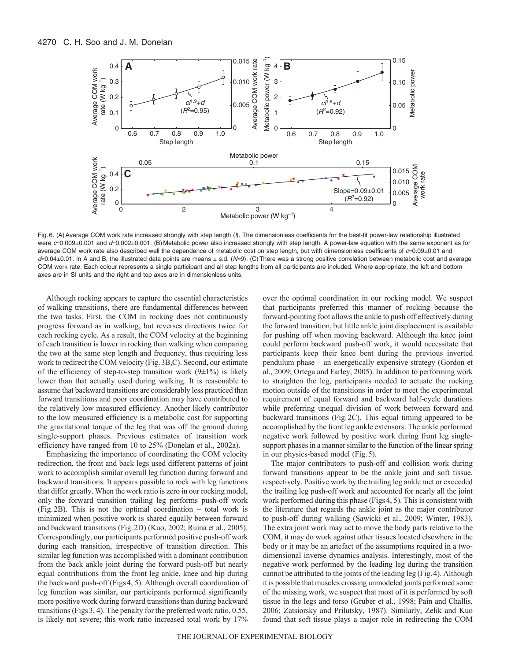

Fig. 6. (A) Average COM work rate increased strongly with step length ( $\beta$ . The dimensionless coefficients for the best-fit power-law relationship illustrated were c=0.009±0.001 and d=0.002±0.001. (B) Metabolic power also increased strongly with step length. A power-law equation with the same exponent as for average COM work rate also described well the dependence of metabolic cost on step length, but with dimensionless coefficients of  $c=0.09\pm0.01$  and  $d=0.04\pm0.01$ . In A and B, the illustrated data points are means  $\pm$  s.d. (N=9). (C) There was a strong positive correlation between metabolic cost and average COM work rate. Each colour represents a single participant and all step lengths from all participants are included. Where appropriate, the left and bottom axes are in SI units and the right and top axes are in dimensionless units.

Although rocking appears to capture the essential characteristics of walking transitions, there are fundamental differences between the two tasks. First, the COM in rocking does not continuously progress forward as in walking, but reverses directions twice for each rocking cycle. As a result, the COM velocity at the beginning of each transition is lower in rocking than walking when comparing the two at the same step length and frequency, thus requiring less work to redirect the COM velocity (Fig.3B,C). Second, our estimate of the efficiency of step-to-step transition work  $(9\pm1\%)$  is likely lower than that actually used during walking. It is reasonable to assume that backward transitions are considerably less practiced than forward transitions and poor coordination may have contributed to the relatively low measured efficiency. Another likely contributor to the low measured efficiency is a metabolic cost for supporting the gravitational torque of the leg that was off the ground during single-support phases. Previous estimates of transition work efficiency have ranged from 10 to 25% (Donelan et al., 2002a).

Emphasizing the importance of coordinating the COM velocity redirection, the front and back legs used different patterns of joint work to accomplish similar overall leg function during forward and backward transitions. It appears possible to rock with leg functions that differ greatly. When the work ratio is zero in our rocking model, only the forward transition trailing leg performs push-off work (Fig.2B). This is not the optimal coordination – total work is minimized when positive work is shared equally between forward and backward transitions (Fig.2D) (Kuo, 2002; Ruina et al., 2005). Correspondingly, our participants performed positive push-off work during each transition, irrespective of transition direction. This similar leg function was accomplished with a dominant contribution from the back ankle joint during the forward push-off but nearly equal contributions from the front leg ankle, knee and hip during the backward push-off (Figs4, 5). Although overall coordination of leg function was similar, our participants performed significantly more positive work during forward transitions than during backward transitions (Figs3, 4). The penalty for the preferred work ratio, 0.55, is likely not severe; this work ratio increased total work by 17%

over the optimal coordination in our rocking model. We suspect that participants preferred this manner of rocking because the forward-pointing foot allows the ankle to push off effectively during the forward transition, but little ankle joint displacement is available for pushing off when moving backward. Although the knee joint could perform backward push-off work, it would necessitate that participants keep their knee bent during the previous inverted pendulum phase – an energetically expensive strategy (Gordon et al., 2009; Ortega and Farley, 2005). In addition to performing work to straighten the leg, participants needed to actuate the rocking motion outside of the transitions in order to meet the experimental requirement of equal forward and backward half-cycle durations while preferring unequal division of work between forward and backward transitions (Fig.2C). This equal timing appeared to be accomplished by the front leg ankle extensors. The ankle performed negative work followed by positive work during front leg singlesupport phases in a manner similar to the function of the linear spring in our physics-based model (Fig.5).

The major contributors to push-off and collision work during forward transitions appear to be the ankle joint and soft tissue, respectively. Positive work by the trailing leg ankle met or exceeded the trailing leg push-off work and accounted for nearly all the joint work performed during this phase (Figs4, 5). This is consistent with the literature that regards the ankle joint as the major contributor to push-off during walking (Sawicki et al., 2009; Winter, 1983). The extra joint work may act to move the body parts relative to the COM, it may do work against other tissues located elsewhere in the body or it may be an artefact of the assumptions required in a twodimensional inverse dynamics analysis. Interestingly, most of the negative work performed by the leading leg during the transition cannot be attributed to the joints of the leading leg (Fig.4). Although it is possible that muscles crossing unmodeled joints performed some of the missing work, we suspect that most of it is performed by soft tissue in the legs and torso (Gruber et al., 1998; Pain and Challis, 2006; Zatsiorsky and Prilutsky, 1987). Similarly, Zelik and Kuo found that soft tissue plays a major role in redirecting the COM